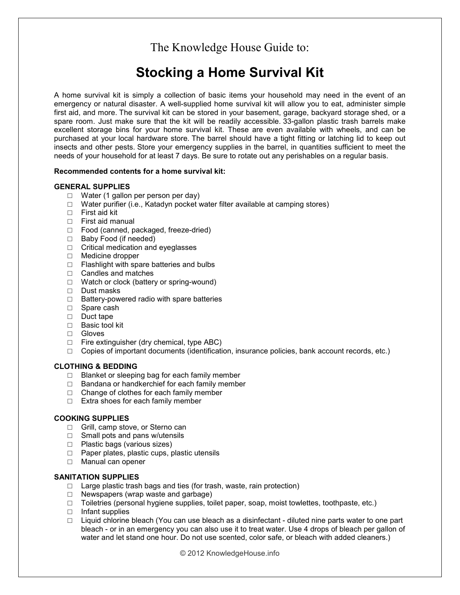The Knowledge House Guide to:

# **Stocking a Home Survival Kit**

A home survival kit is simply a collection of basic items your household may need in the event of an emergency or natural disaster. A well-supplied home survival kit will allow you to eat, administer simple first aid, and more. The survival kit can be stored in your basement, garage, backyard storage shed, or a spare room. Just make sure that the kit will be readily accessible. 33-gallon plastic trash barrels make excellent storage bins for your home survival kit. These are even available with wheels, and can be purchased at your local hardware store. The barrel should have a tight fitting or latching lid to keep out insects and other pests. Store your emergency supplies in the barrel, in quantities sufficient to meet the needs of your household for at least 7 days. Be sure to rotate out any perishables on a regular basis.

#### **Recommended contents for a home survival kit:**

#### **GENERAL SUPPLIES**

- □ Water (1 gallon per person per day)
- $\Box$  Water purifier (i.e., Katadyn pocket water filter available at camping stores)
- $\Box$  First aid kit
- □ First aid manual
- □ Food (canned, packaged, freeze-dried)
- □ Baby Food (if needed)
- □ Critical medication and eyeglasses
- □ Medicine dropper
- □ Flashlight with spare batteries and bulbs
- □ Candles and matches
- □ Watch or clock (battery or spring-wound)
- □ Dust masks
- □ Battery-powered radio with spare batteries
- □ Spare cash
- □ Duct tape
- □ Basic tool kit
- □ Gloves
- $\Box$  Fire extinguisher (dry chemical, type ABC)
- $\Box$  Copies of important documents (identification, insurance policies, bank account records, etc.)

## **CLOTHING & BEDDING**

- □ Blanket or sleeping bag for each family member
- $\Box$  Bandana or handkerchief for each family member
- □ Change of clothes for each family member
- □ Extra shoes for each family member

## **COOKING SUPPLIES**

- □ Grill, camp stove, or Sterno can
- □ Small pots and pans w/utensils
- □ Plastic bags (various sizes)
- □ Paper plates, plastic cups, plastic utensils
- □ Manual can opener

### **SANITATION SUPPLIES**

- $\Box$  Large plastic trash bags and ties (for trash, waste, rain protection)
- □ Newspapers (wrap waste and garbage)
- $\Box$  Toiletries (personal hygiene supplies, toilet paper, soap, moist towlettes, toothpaste, etc.)
- □ Infant supplies
- □ Liquid chlorine bleach (You can use bleach as a disinfectant diluted nine parts water to one part bleach - or in an emergency you can also use it to treat water. Use 4 drops of bleach per gallon of water and let stand one hour. Do not use scented, color safe, or bleach with added cleaners.)